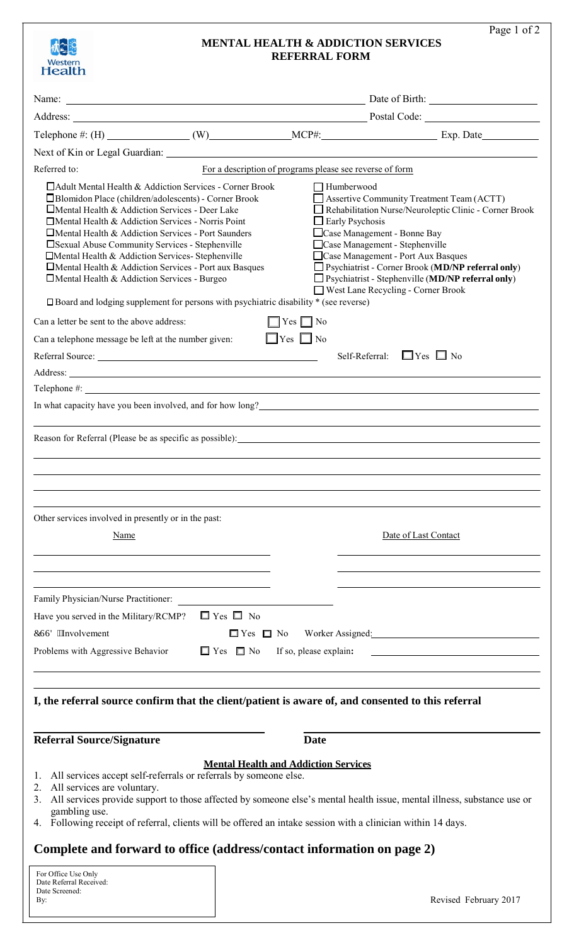| Western<br><b>Health</b>                                                                                                                                                                                                                                                                                                                                                                                                                                                                                               |                      |                                                          | <b>REFERRAL FORM</b>                        | <b>MENTAL HEALTH &amp; ADDICTION SERVICES</b>                                                                                                                                                                                                                                                                                                                                | Page 1 of 2 |
|------------------------------------------------------------------------------------------------------------------------------------------------------------------------------------------------------------------------------------------------------------------------------------------------------------------------------------------------------------------------------------------------------------------------------------------------------------------------------------------------------------------------|----------------------|----------------------------------------------------------|---------------------------------------------|------------------------------------------------------------------------------------------------------------------------------------------------------------------------------------------------------------------------------------------------------------------------------------------------------------------------------------------------------------------------------|-------------|
|                                                                                                                                                                                                                                                                                                                                                                                                                                                                                                                        |                      | Name: <u>Name:</u> Date of Birth:                        |                                             |                                                                                                                                                                                                                                                                                                                                                                              |             |
|                                                                                                                                                                                                                                                                                                                                                                                                                                                                                                                        |                      |                                                          |                                             |                                                                                                                                                                                                                                                                                                                                                                              |             |
|                                                                                                                                                                                                                                                                                                                                                                                                                                                                                                                        |                      |                                                          |                                             | Telephone #: (H) ________________(W)_______________MCP#: ________________________ Exp. Date__________                                                                                                                                                                                                                                                                        |             |
|                                                                                                                                                                                                                                                                                                                                                                                                                                                                                                                        |                      |                                                          |                                             |                                                                                                                                                                                                                                                                                                                                                                              |             |
| Referred to:                                                                                                                                                                                                                                                                                                                                                                                                                                                                                                           |                      | For a description of programs please see reverse of form |                                             |                                                                                                                                                                                                                                                                                                                                                                              |             |
| □ Adult Mental Health & Addiction Services - Corner Brook<br>□ Blomidon Place (children/adolescents) - Corner Brook<br>$\Box$ Mental Health & Addiction Services - Deer Lake<br>□ Mental Health & Addiction Services - Norris Point<br>$\Box$ Mental Health & Addiction Services - Port Saunders<br>□ Sexual Abuse Community Services - Stephenville<br>□ Mental Health & Addiction Services- Stephenville<br>□ Mental Health & Addiction Services - Port aux Basques<br>□ Mental Health & Addiction Services - Burgeo |                      |                                                          | $\Box$ Humberwood<br>$\Box$ Early Psychosis | Assertive Community Treatment Team (ACTT)<br>Rehabilitation Nurse/Neuroleptic Clinic - Corner Brook<br>□ Case Management - Bonne Bay<br>Case Management - Stephenville<br>Case Management - Port Aux Basques<br>$\Box$ Psychiatrist - Corner Brook (MD/NP referral only)<br>$\Box$ Psychiatrist - Stephenville (MD/NP referral only)<br>□ West Lane Recycling - Corner Brook |             |
| □ Board and lodging supplement for persons with psychiatric disability * (see reverse)                                                                                                                                                                                                                                                                                                                                                                                                                                 |                      |                                                          |                                             |                                                                                                                                                                                                                                                                                                                                                                              |             |
| Can a letter be sent to the above address:                                                                                                                                                                                                                                                                                                                                                                                                                                                                             |                      | $\Box$ Yes $\Box$ No                                     |                                             |                                                                                                                                                                                                                                                                                                                                                                              |             |
| Can a telephone message be left at the number given:                                                                                                                                                                                                                                                                                                                                                                                                                                                                   |                      | $\Box$ Yes $\Box$ No                                     |                                             |                                                                                                                                                                                                                                                                                                                                                                              |             |
|                                                                                                                                                                                                                                                                                                                                                                                                                                                                                                                        |                      |                                                          |                                             | Self-Referral: $\Box$ Yes $\Box$ No                                                                                                                                                                                                                                                                                                                                          |             |
| Address: National Address: National Address: National Address: National Address: National Address: National Address: National Address: National Address: National Address: National Address: National Address: National Addres                                                                                                                                                                                                                                                                                         |                      |                                                          |                                             |                                                                                                                                                                                                                                                                                                                                                                              |             |
|                                                                                                                                                                                                                                                                                                                                                                                                                                                                                                                        |                      |                                                          |                                             | Telephone #:                                                                                                                                                                                                                                                                                                                                                                 |             |
|                                                                                                                                                                                                                                                                                                                                                                                                                                                                                                                        |                      |                                                          |                                             | Reason for Referral (Please be as specific as possible): <u>contained</u> and the contained and the contained and the contained and the contained and the containing of the containing of the containing of the containing of the c                                                                                                                                          |             |
| Other services involved in presently or in the past:<br><b>Name</b>                                                                                                                                                                                                                                                                                                                                                                                                                                                    |                      |                                                          |                                             | Date of Last Contact                                                                                                                                                                                                                                                                                                                                                         |             |
| Family Physician/Nurse Practitioner:                                                                                                                                                                                                                                                                                                                                                                                                                                                                                   |                      |                                                          |                                             |                                                                                                                                                                                                                                                                                                                                                                              |             |
| Have you served in the Military/RCMP?                                                                                                                                                                                                                                                                                                                                                                                                                                                                                  | $\Box$ Yes $\Box$ No |                                                          |                                             |                                                                                                                                                                                                                                                                                                                                                                              |             |
| EUUF "Involvement                                                                                                                                                                                                                                                                                                                                                                                                                                                                                                      |                      | $\Box$ Yes $\Box$ No                                     |                                             | Worker Assigned:                                                                                                                                                                                                                                                                                                                                                             |             |
| Problems with Aggressive Behavior                                                                                                                                                                                                                                                                                                                                                                                                                                                                                      | $\Box$ Yes $\Box$ No |                                                          | If so, please explain:                      |                                                                                                                                                                                                                                                                                                                                                                              |             |
|                                                                                                                                                                                                                                                                                                                                                                                                                                                                                                                        |                      |                                                          |                                             | I, the referral source confirm that the client/patient is aware of, and consented to this referral                                                                                                                                                                                                                                                                           |             |
| <b>Referral Source/Signature</b>                                                                                                                                                                                                                                                                                                                                                                                                                                                                                       |                      |                                                          | <b>Date</b>                                 |                                                                                                                                                                                                                                                                                                                                                                              |             |
| All services accept self-referrals or referrals by someone else.<br>1.<br>All services are voluntary.<br>2.<br>3.                                                                                                                                                                                                                                                                                                                                                                                                      |                      | <b>Mental Health and Addiction Services</b>              |                                             | All services provide support to those affected by someone else's mental health issue, mental illness, substance use or                                                                                                                                                                                                                                                       |             |
| gambling use.                                                                                                                                                                                                                                                                                                                                                                                                                                                                                                          |                      |                                                          |                                             |                                                                                                                                                                                                                                                                                                                                                                              |             |

4. Following receipt of referral, clients will be offered an intake session with a clinician within 14 days.

# **Complete and forward to office (address/contact information on page 2)**

| For Office Use Only     |
|-------------------------|
| Date Referral Received: |
| Date Screened:          |
| Bv:                     |